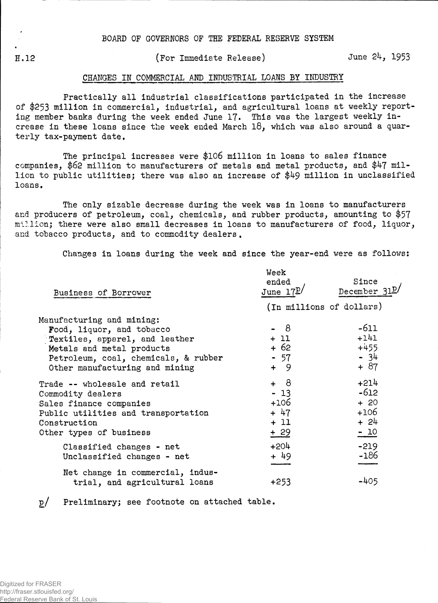**H.12** 

(For Immediate Release) June 24, 1953

## CHANGES IN COMMERCIAL AND INDUSTRIAL LOANS BY INDUSTRY

Practically all industrial classifications participated in the increase of \$253 million in commercial, industrial, and agricultural loans at weekly reporting member banks during the week ended June 17. This was the largest weekly increase in these loans since the week ended March 18, which was also around a quarterly tax-payment date.

The principal increases were \$106 million in loans to sales finance companies, \$62 million to manufacturers of metals and metal products, and \$47 million to public utilities; there was also an increase of \$49 million in unclassified loans.

The only sizable decrease during the week was in loans to manufacturers and producers of petroleum, coal, chemicals, and rubber products, amounting to \$57 million; there were also small decreases in loans to manufacturers of food, liquor, and tobacco products, and to commodity dealers.

Changes in loans during the week and since the year-end were as follows:

| Business of Borrower                                                                                                                                                                            | Week<br>ended<br>June $17L$                          | Since<br>December 31P                                   |  |  |  |
|-------------------------------------------------------------------------------------------------------------------------------------------------------------------------------------------------|------------------------------------------------------|---------------------------------------------------------|--|--|--|
|                                                                                                                                                                                                 | (In millions of dollars)                             |                                                         |  |  |  |
| Manufacturing and mining:<br>Food, liquor, and tobacco<br>Textiles, apparel, and leather<br>Metals and metal products<br>Petroleum, coal, chemicals, & rubber<br>Other manufacturing and mining | - 8<br>$+11$<br>$+62$<br>$-57$<br>$+ 9$              | $-611$<br>$+141$<br>$+455$<br>$-34$<br>$+ 87$           |  |  |  |
| Trade -- wholesale and retail<br>Commodity dealers<br>Sales finance companies<br>Public utilities and transportation<br>Construction<br>Other types of business                                 | $+ 8$<br>$-13$<br>$+106$<br>$+ 47$<br>$+11$<br>$+29$ | $+214$<br>$-612$<br>$+ 20$<br>$+106$<br>$+ 24$<br>$-10$ |  |  |  |
| Classified changes - net<br>Unclassified changes - net                                                                                                                                          | $+204$<br>$+49$                                      | $-219$<br>$-186$                                        |  |  |  |
| Net change in commercial, indus-<br>trial, and agricultural loans                                                                                                                               | $+253$                                               | -405                                                    |  |  |  |

p/ Preliminary; see footnote on attached table.